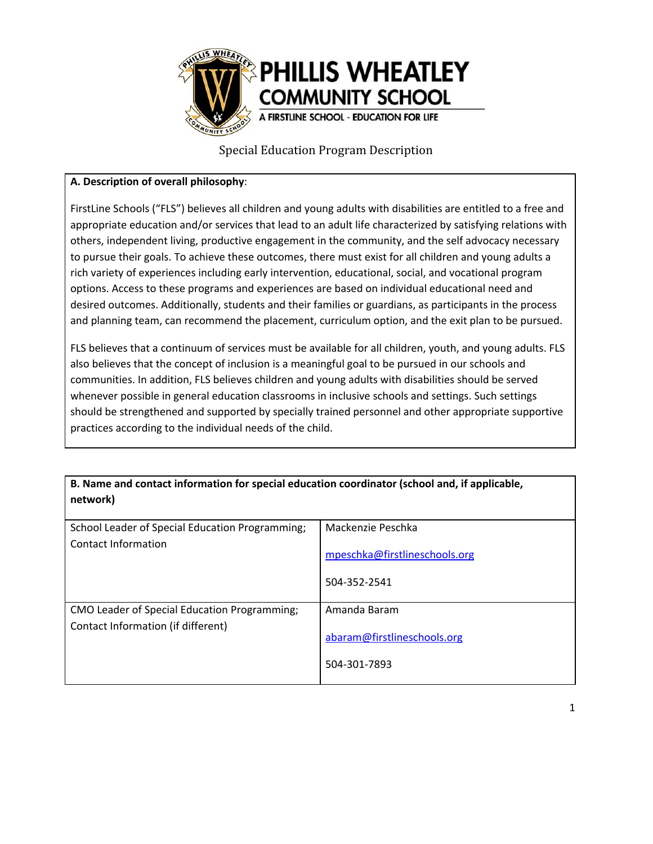

#### **A. Description of overall philosophy**:

FirstLine Schools ("FLS") believes all children and young adults with disabilities are entitled to a free and appropriate education and/or services that lead to an adult life characterized by satisfying relations with others, independent living, productive engagement in the community, and the self advocacy necessary to pursue their goals. To achieve these outcomes, there must exist for all children and young adults a rich variety of experiences including early intervention, educational, social, and vocational program options. Access to these programs and experiences are based on individual educational need and desired outcomes. Additionally, students and their families or guardians, as participants in the process and planning team, can recommend the placement, curriculum option, and the exit plan to be pursued.

FLS believes that a continuum of services must be available for all children, youth, and young adults. FLS also believes that the concept of inclusion is a meaningful goal to be pursued in our schools and communities. In addition, FLS believes children and young adults with disabilities should be served whenever possible in general education classrooms in inclusive schools and settings. Such settings should be strengthened and supported by specially trained personnel and other appropriate supportive practices according to the individual needs of the child.

**B. Name and contact information for special education coordinator (school and, if applicable, network)**

| School Leader of Special Education Programming; | Mackenzie Peschka                             |
|-------------------------------------------------|-----------------------------------------------|
| Contact Information                             | mpeschka@firstlineschools.org<br>504-352-2541 |
| CMO Leader of Special Education Programming;    | Amanda Baram                                  |
| Contact Information (if different)              | abaram@firstlineschools.org<br>504-301-7893   |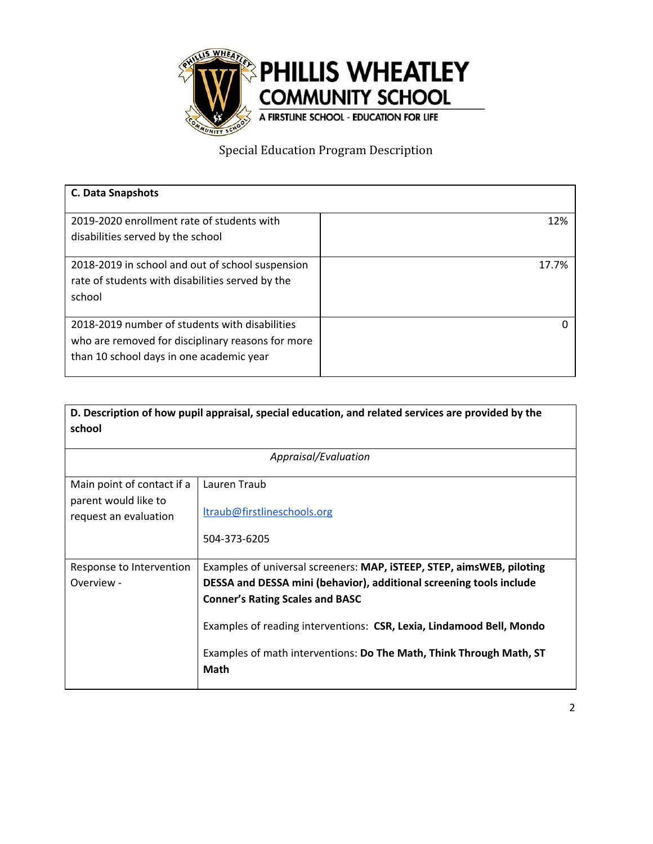

| <b>C. Data Snapshots</b>                          |       |
|---------------------------------------------------|-------|
| 2019-2020 enrollment rate of students with        | 12%   |
| disabilities served by the school                 |       |
| 2018-2019 in school and out of school suspension  | 17.7% |
| rate of students with disabilities served by the  |       |
| school                                            |       |
| 2018-2019 number of students with disabilities    |       |
| who are removed for disciplinary reasons for more |       |
| than 10 school days in one academic year          |       |
|                                                   |       |

| D. Description of how pupil appraisal, special education, and related services are provided by the<br>school |                                                                                                                                                                                                                                                                                                                                                      |  |
|--------------------------------------------------------------------------------------------------------------|------------------------------------------------------------------------------------------------------------------------------------------------------------------------------------------------------------------------------------------------------------------------------------------------------------------------------------------------------|--|
| Appraisal/Evaluation                                                                                         |                                                                                                                                                                                                                                                                                                                                                      |  |
| Main point of contact if a<br>parent would like to<br>request an evaluation                                  | Lauren Traub<br>ltraub@firstlineschools.org<br>504-373-6205                                                                                                                                                                                                                                                                                          |  |
| Response to Intervention<br>Overview -                                                                       | Examples of universal screeners: MAP, ISTEEP, STEP, aimsWEB, piloting<br>DESSA and DESSA mini (behavior), additional screening tools include<br><b>Conner's Rating Scales and BASC</b><br>Examples of reading interventions: CSR, Lexia, Lindamood Bell, Mondo<br>Examples of math interventions: Do The Math, Think Through Math, ST<br><b>Math</b> |  |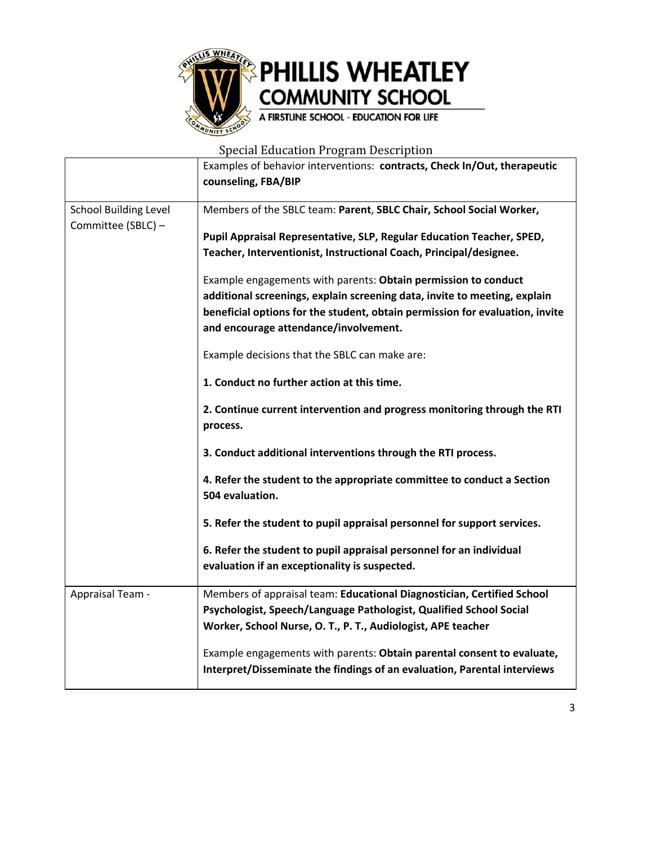

|                              | Examples of behavior interventions: contracts, Check In/Out, therapeutic                                                                                  |  |  |
|------------------------------|-----------------------------------------------------------------------------------------------------------------------------------------------------------|--|--|
|                              | counseling, FBA/BIP                                                                                                                                       |  |  |
| <b>School Building Level</b> | Members of the SBLC team: Parent, SBLC Chair, School Social Worker,                                                                                       |  |  |
| Committee (SBLC) -           | Pupil Appraisal Representative, SLP, Regular Education Teacher, SPED,                                                                                     |  |  |
|                              | Teacher, Interventionist, Instructional Coach, Principal/designee.                                                                                        |  |  |
|                              | Example engagements with parents: Obtain permission to conduct                                                                                            |  |  |
|                              | additional screenings, explain screening data, invite to meeting, explain<br>beneficial options for the student, obtain permission for evaluation, invite |  |  |
|                              | and encourage attendance/involvement.                                                                                                                     |  |  |
|                              | Example decisions that the SBLC can make are:                                                                                                             |  |  |
|                              | 1. Conduct no further action at this time.                                                                                                                |  |  |
|                              | 2. Continue current intervention and progress monitoring through the RTI<br>process.                                                                      |  |  |
|                              | 3. Conduct additional interventions through the RTI process.                                                                                              |  |  |
|                              | 4. Refer the student to the appropriate committee to conduct a Section<br>504 evaluation.                                                                 |  |  |
|                              | 5. Refer the student to pupil appraisal personnel for support services.                                                                                   |  |  |
|                              | 6. Refer the student to pupil appraisal personnel for an individual                                                                                       |  |  |
|                              | evaluation if an exceptionality is suspected.                                                                                                             |  |  |
| Appraisal Team -             | Members of appraisal team: Educational Diagnostician, Certified School                                                                                    |  |  |
|                              | Psychologist, Speech/Language Pathologist, Qualified School Social<br>Worker, School Nurse, O. T., P. T., Audiologist, APE teacher                        |  |  |
|                              | Example engagements with parents: Obtain parental consent to evaluate,                                                                                    |  |  |
|                              | Interpret/Disseminate the findings of an evaluation, Parental interviews                                                                                  |  |  |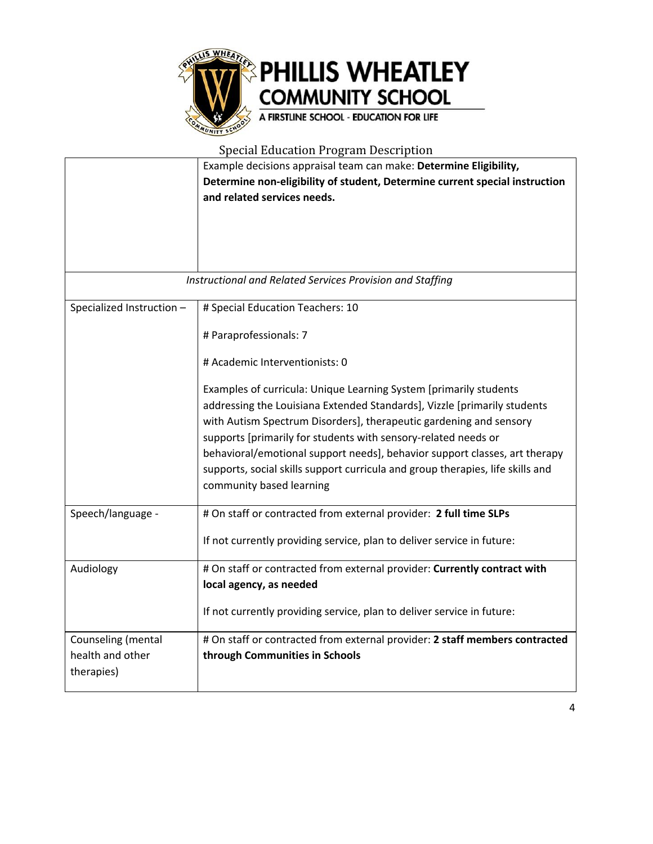

|                                                      | Example decisions appraisal team can make: Determine Eligibility,<br>Determine non-eligibility of student, Determine current special instruction<br>and related services needs.                                                                                                                                                                                                                                                                                                   |
|------------------------------------------------------|-----------------------------------------------------------------------------------------------------------------------------------------------------------------------------------------------------------------------------------------------------------------------------------------------------------------------------------------------------------------------------------------------------------------------------------------------------------------------------------|
|                                                      | Instructional and Related Services Provision and Staffing                                                                                                                                                                                                                                                                                                                                                                                                                         |
|                                                      |                                                                                                                                                                                                                                                                                                                                                                                                                                                                                   |
| Specialized Instruction -                            | # Special Education Teachers: 10                                                                                                                                                                                                                                                                                                                                                                                                                                                  |
|                                                      | # Paraprofessionals: 7                                                                                                                                                                                                                                                                                                                                                                                                                                                            |
|                                                      | # Academic Interventionists: 0                                                                                                                                                                                                                                                                                                                                                                                                                                                    |
|                                                      | Examples of curricula: Unique Learning System [primarily students<br>addressing the Louisiana Extended Standards], Vizzle [primarily students<br>with Autism Spectrum Disorders], therapeutic gardening and sensory<br>supports [primarily for students with sensory-related needs or<br>behavioral/emotional support needs], behavior support classes, art therapy<br>supports, social skills support curricula and group therapies, life skills and<br>community based learning |
| Speech/language -                                    | # On staff or contracted from external provider: 2 full time SLPs                                                                                                                                                                                                                                                                                                                                                                                                                 |
|                                                      | If not currently providing service, plan to deliver service in future:                                                                                                                                                                                                                                                                                                                                                                                                            |
| Audiology                                            | # On staff or contracted from external provider: Currently contract with<br>local agency, as needed                                                                                                                                                                                                                                                                                                                                                                               |
|                                                      | If not currently providing service, plan to deliver service in future:                                                                                                                                                                                                                                                                                                                                                                                                            |
| Counseling (mental<br>health and other<br>therapies) | # On staff or contracted from external provider: 2 staff members contracted<br>through Communities in Schools                                                                                                                                                                                                                                                                                                                                                                     |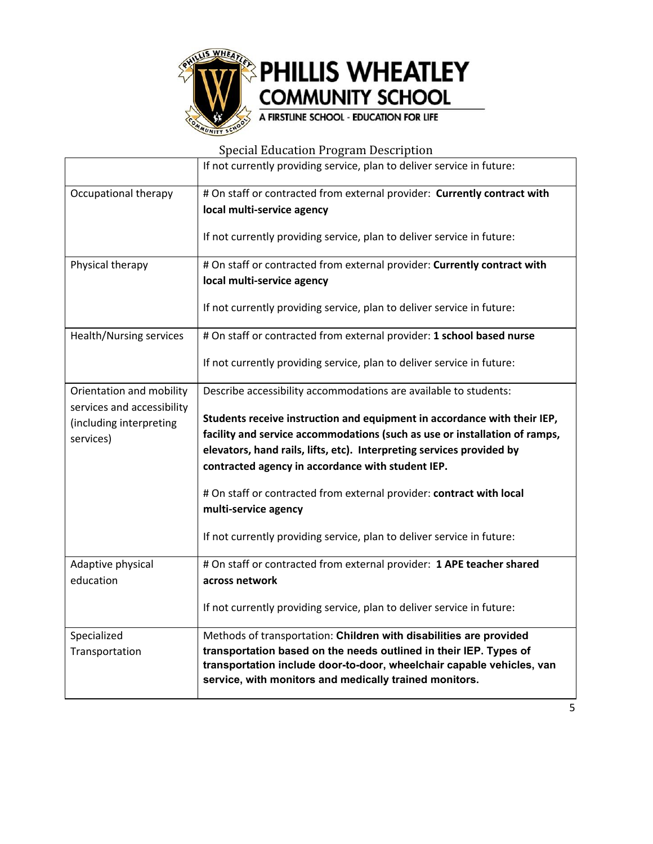

|                                                                                                | If not currently providing service, plan to deliver service in future:                                                                                                                                                                                                                                                                                                                                                                                                                                                             |
|------------------------------------------------------------------------------------------------|------------------------------------------------------------------------------------------------------------------------------------------------------------------------------------------------------------------------------------------------------------------------------------------------------------------------------------------------------------------------------------------------------------------------------------------------------------------------------------------------------------------------------------|
| Occupational therapy                                                                           | # On staff or contracted from external provider: Currently contract with<br>local multi-service agency<br>If not currently providing service, plan to deliver service in future:                                                                                                                                                                                                                                                                                                                                                   |
| Physical therapy                                                                               | # On staff or contracted from external provider: Currently contract with<br>local multi-service agency<br>If not currently providing service, plan to deliver service in future:                                                                                                                                                                                                                                                                                                                                                   |
| Health/Nursing services                                                                        | # On staff or contracted from external provider: 1 school based nurse<br>If not currently providing service, plan to deliver service in future:                                                                                                                                                                                                                                                                                                                                                                                    |
| Orientation and mobility<br>services and accessibility<br>(including interpreting<br>services) | Describe accessibility accommodations are available to students:<br>Students receive instruction and equipment in accordance with their IEP,<br>facility and service accommodations (such as use or installation of ramps,<br>elevators, hand rails, lifts, etc). Interpreting services provided by<br>contracted agency in accordance with student IEP.<br># On staff or contracted from external provider: contract with local<br>multi-service agency<br>If not currently providing service, plan to deliver service in future: |
| Adaptive physical<br>education                                                                 | # On staff or contracted from external provider: 1 APE teacher shared<br>across network<br>If not currently providing service, plan to deliver service in future:                                                                                                                                                                                                                                                                                                                                                                  |
| Specialized<br>Transportation                                                                  | Methods of transportation: Children with disabilities are provided<br>transportation based on the needs outlined in their IEP. Types of<br>transportation include door-to-door, wheelchair capable vehicles, van<br>service, with monitors and medically trained monitors.                                                                                                                                                                                                                                                         |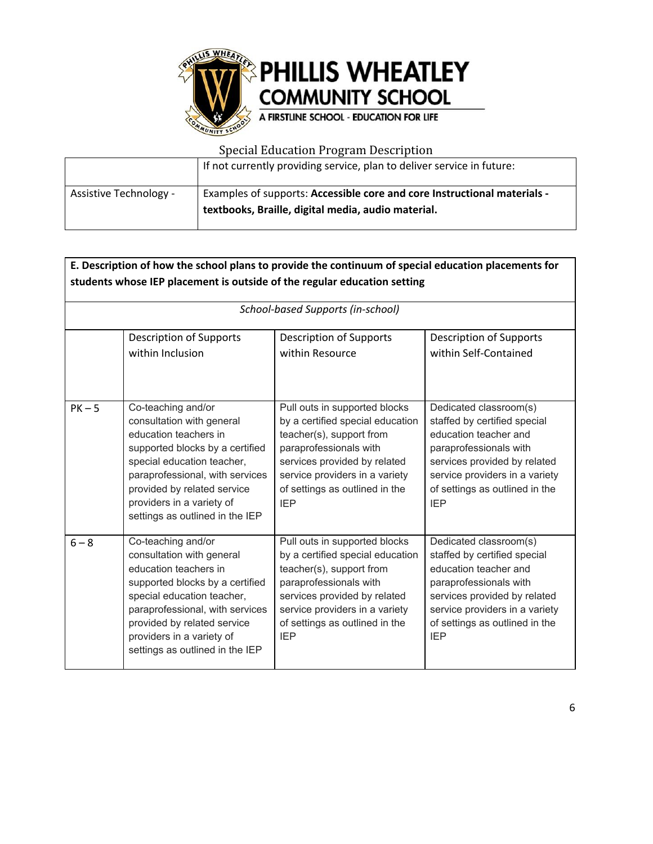

|                        | If not currently providing service, plan to deliver service in future:                                                         |
|------------------------|--------------------------------------------------------------------------------------------------------------------------------|
| - Assistive Technology | Examples of supports: Accessible core and core Instructional materials -<br>textbooks, Braille, digital media, audio material. |

| E. Description of how the school plans to provide the continuum of special education placements for<br>students whose IEP placement is outside of the regular education setting |                                                                                                                                                                                                                                                                             |                                                                                                                                                                                                                                           |                                                                                                                                                                                                                             |
|---------------------------------------------------------------------------------------------------------------------------------------------------------------------------------|-----------------------------------------------------------------------------------------------------------------------------------------------------------------------------------------------------------------------------------------------------------------------------|-------------------------------------------------------------------------------------------------------------------------------------------------------------------------------------------------------------------------------------------|-----------------------------------------------------------------------------------------------------------------------------------------------------------------------------------------------------------------------------|
|                                                                                                                                                                                 |                                                                                                                                                                                                                                                                             | School-based Supports (in-school)                                                                                                                                                                                                         |                                                                                                                                                                                                                             |
|                                                                                                                                                                                 | <b>Description of Supports</b><br>within Inclusion                                                                                                                                                                                                                          | <b>Description of Supports</b><br>within Resource                                                                                                                                                                                         | <b>Description of Supports</b><br>within Self-Contained                                                                                                                                                                     |
| $PK - 5$                                                                                                                                                                        | Co-teaching and/or<br>consultation with general<br>education teachers in<br>supported blocks by a certified<br>special education teacher,<br>paraprofessional, with services<br>provided by related service<br>providers in a variety of<br>settings as outlined in the IEP | Pull outs in supported blocks<br>by a certified special education<br>teacher(s), support from<br>paraprofessionals with<br>services provided by related<br>service providers in a variety<br>of settings as outlined in the<br><b>IEP</b> | Dedicated classroom(s)<br>staffed by certified special<br>education teacher and<br>paraprofessionals with<br>services provided by related<br>service providers in a variety<br>of settings as outlined in the<br><b>IEP</b> |
| $6 - 8$                                                                                                                                                                         | Co-teaching and/or<br>consultation with general<br>education teachers in<br>supported blocks by a certified<br>special education teacher,<br>paraprofessional, with services<br>provided by related service<br>providers in a variety of<br>settings as outlined in the IEP | Pull outs in supported blocks<br>by a certified special education<br>teacher(s), support from<br>paraprofessionals with<br>services provided by related<br>service providers in a variety<br>of settings as outlined in the<br><b>IEP</b> | Dedicated classroom(s)<br>staffed by certified special<br>education teacher and<br>paraprofessionals with<br>services provided by related<br>service providers in a variety<br>of settings as outlined in the<br><b>IEP</b> |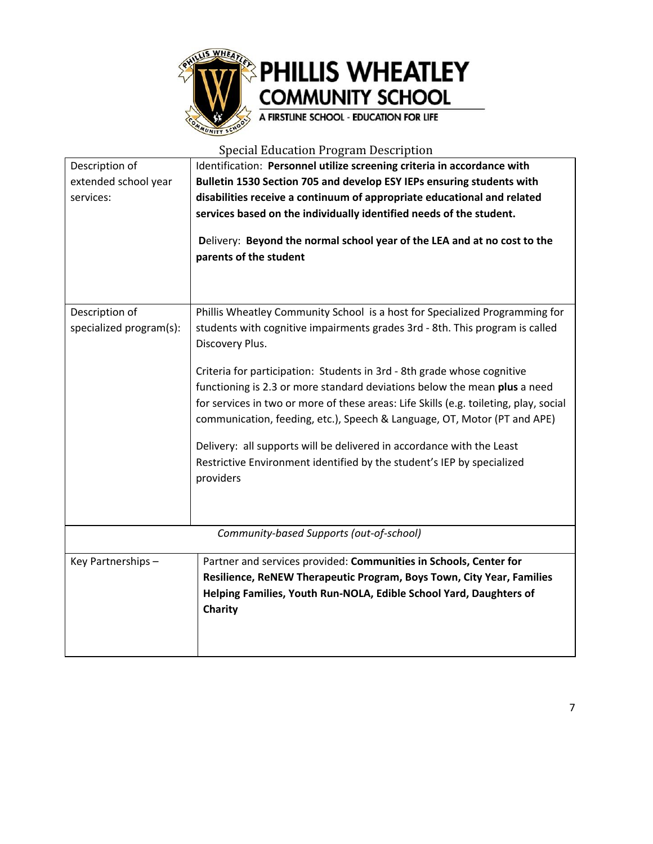

| Description of<br>extended school year    | Identification: Personnel utilize screening criteria in accordance with<br>Bulletin 1530 Section 705 and develop ESY IEPs ensuring students with                                                                                                                                                                          |  |  |
|-------------------------------------------|---------------------------------------------------------------------------------------------------------------------------------------------------------------------------------------------------------------------------------------------------------------------------------------------------------------------------|--|--|
| services:                                 | disabilities receive a continuum of appropriate educational and related<br>services based on the individually identified needs of the student.                                                                                                                                                                            |  |  |
|                                           | Delivery: Beyond the normal school year of the LEA and at no cost to the<br>parents of the student                                                                                                                                                                                                                        |  |  |
| Description of<br>specialized program(s): | Phillis Wheatley Community School is a host for Specialized Programming for<br>students with cognitive impairments grades 3rd - 8th. This program is called<br>Discovery Plus.                                                                                                                                            |  |  |
|                                           | Criteria for participation: Students in 3rd - 8th grade whose cognitive<br>functioning is 2.3 or more standard deviations below the mean plus a need<br>for services in two or more of these areas: Life Skills (e.g. toileting, play, social<br>communication, feeding, etc.), Speech & Language, OT, Motor (PT and APE) |  |  |
|                                           | Delivery: all supports will be delivered in accordance with the Least<br>Restrictive Environment identified by the student's IEP by specialized<br>providers                                                                                                                                                              |  |  |
|                                           | Community-based Supports (out-of-school)                                                                                                                                                                                                                                                                                  |  |  |
| Key Partnerships -                        | Partner and services provided: Communities in Schools, Center for<br>Resilience, ReNEW Therapeutic Program, Boys Town, City Year, Families<br>Helping Families, Youth Run-NOLA, Edible School Yard, Daughters of<br>Charity                                                                                               |  |  |